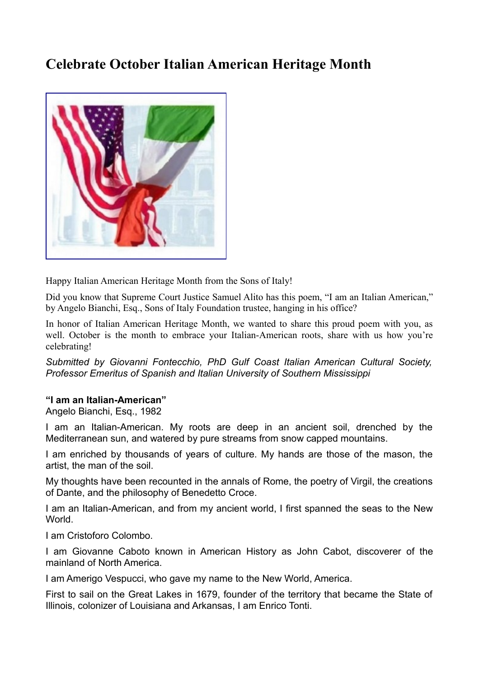## **Celebrate October Italian American Heritage Month**



Happy Italian American Heritage Month from the Sons of Italy!

Did you know that Supreme Court Justice Samuel Alito has this poem, "I am an Italian American," by Angelo Bianchi, Esq., Sons of Italy Foundation trustee, hanging in his office?

In honor of Italian American Heritage Month, we wanted to share this proud poem with you, as well. October is the month to embrace your Italian-American roots, share with us how you're celebrating!

*Submitted by Giovanni Fontecchio, PhD Gulf Coast Italian American Cultural Society, Professor Emeritus of Spanish and Italian University of Southern Mississippi*

## **"I am an Italian-American"**

Angelo Bianchi, Esq., 1982

I am an Italian-American. My roots are deep in an ancient soil, drenched by the Mediterranean sun, and watered by pure streams from snow capped mountains.

I am enriched by thousands of years of culture. My hands are those of the mason, the artist, the man of the soil.

My thoughts have been recounted in the annals of Rome, the poetry of Virgil, the creations of Dante, and the philosophy of Benedetto Croce.

I am an Italian-American, and from my ancient world, I first spanned the seas to the New **World** 

I am Cristoforo Colombo.

I am Giovanne Caboto known in American History as John Cabot, discoverer of the mainland of North America.

I am Amerigo Vespucci, who gave my name to the New World, America.

First to sail on the Great Lakes in 1679, founder of the territory that became the State of Illinois, colonizer of Louisiana and Arkansas, I am Enrico Tonti.